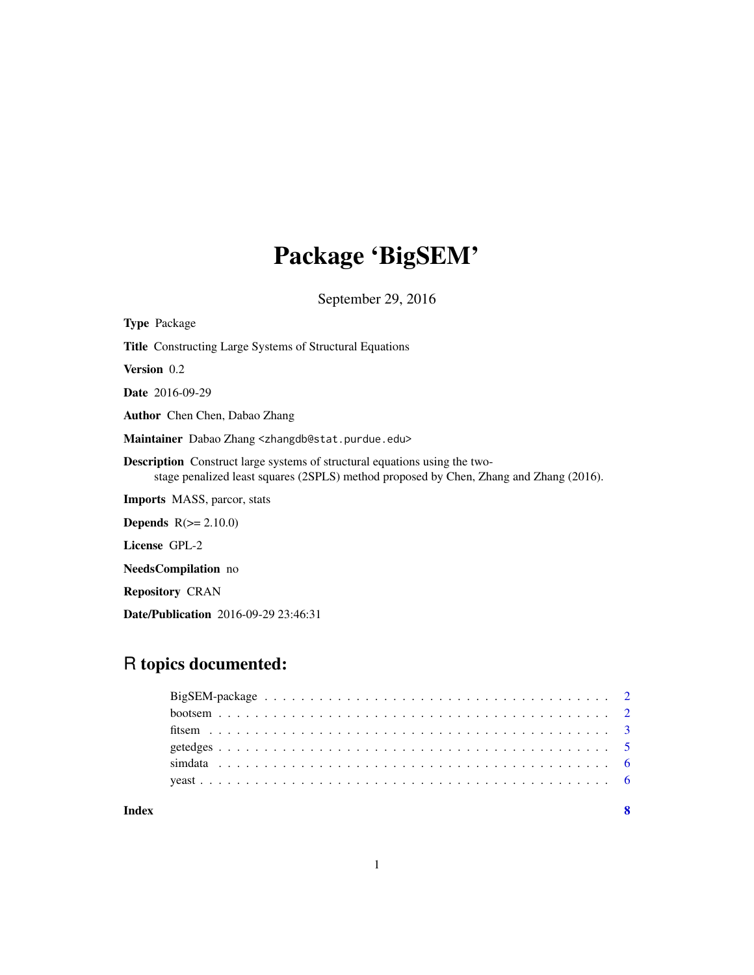# Package 'BigSEM'

September 29, 2016

| <b>Type</b> Package                                                                                                                                                         |
|-----------------------------------------------------------------------------------------------------------------------------------------------------------------------------|
| <b>Title</b> Constructing Large Systems of Structural Equations                                                                                                             |
| <b>Version</b> 0.2                                                                                                                                                          |
| <b>Date</b> 2016-09-29                                                                                                                                                      |
| <b>Author</b> Chen Chen, Dabao Zhang                                                                                                                                        |
| Maintainer Dabao Zhang <zhangdb@stat.purdue.edu></zhangdb@stat.purdue.edu>                                                                                                  |
| <b>Description</b> Construct large systems of structural equations using the two-<br>stage penalized least squares (2SPLS) method proposed by Chen, Zhang and Zhang (2016). |
| <b>Imports</b> MASS, parcor, stats                                                                                                                                          |
| <b>Depends</b> $R(>= 2.10.0)$                                                                                                                                               |
| License GPL-2                                                                                                                                                               |
| <b>NeedsCompilation</b> no                                                                                                                                                  |
| <b>Repository CRAN</b>                                                                                                                                                      |
| <b>Date/Publication</b> 2016-09-29 23:46:31                                                                                                                                 |

# R topics documented:

1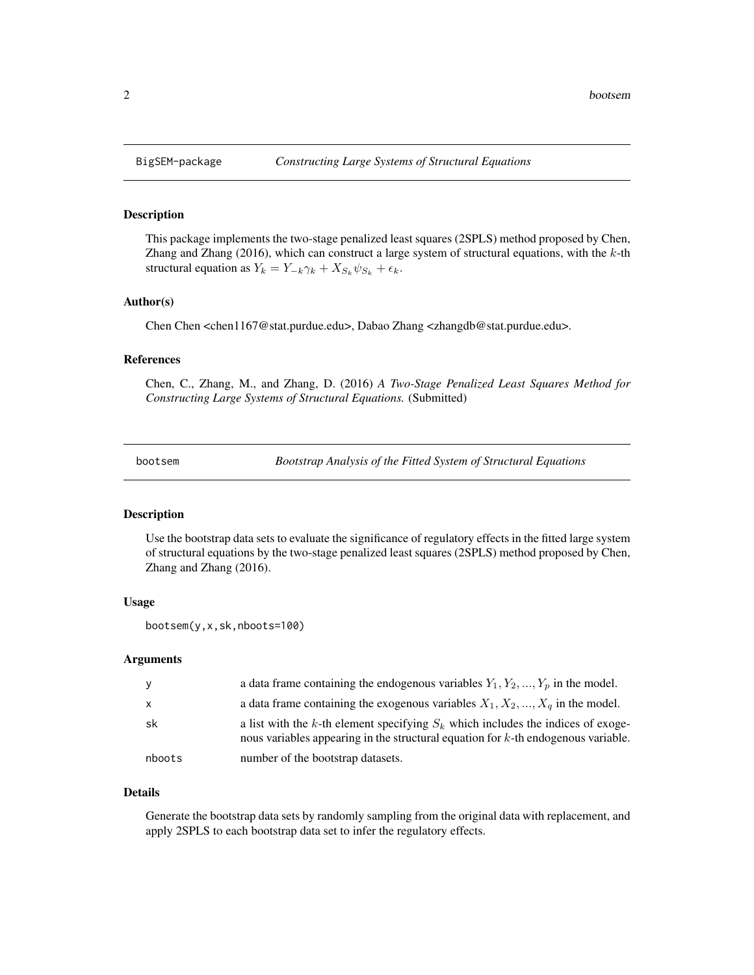<span id="page-1-0"></span>

#### Description

This package implements the two-stage penalized least squares (2SPLS) method proposed by Chen, Zhang and Zhang (2016), which can construct a large system of structural equations, with the  $k$ -th structural equation as  $Y_k = Y_{-k}\gamma_k + X_{S_k}\psi_{S_k} + \epsilon_k$ .

#### Author(s)

Chen Chen <chen1167@stat.purdue.edu>, Dabao Zhang <zhangdb@stat.purdue.edu>.

#### References

Chen, C., Zhang, M., and Zhang, D. (2016) *A Two-Stage Penalized Least Squares Method for Constructing Large Systems of Structural Equations.* (Submitted)

<span id="page-1-1"></span>bootsem *Bootstrap Analysis of the Fitted System of Structural Equations*

# **Description**

Use the bootstrap data sets to evaluate the significance of regulatory effects in the fitted large system of structural equations by the two-stage penalized least squares (2SPLS) method proposed by Chen, Zhang and Zhang (2016).

#### Usage

bootsem(y,x,sk,nboots=100)

#### Arguments

| y      | a data frame containing the endogenous variables $Y_1, Y_2, , Y_p$ in the model.                                                                                           |
|--------|----------------------------------------------------------------------------------------------------------------------------------------------------------------------------|
| X      | a data frame containing the exogenous variables $X_1, X_2, , X_q$ in the model.                                                                                            |
| sk     | a list with the k-th element specifying $S_k$ which includes the indices of exoge-<br>nous variables appearing in the structural equation for $k$ -th endogenous variable. |
| nboots | number of the bootstrap datasets.                                                                                                                                          |

### Details

Generate the bootstrap data sets by randomly sampling from the original data with replacement, and apply 2SPLS to each bootstrap data set to infer the regulatory effects.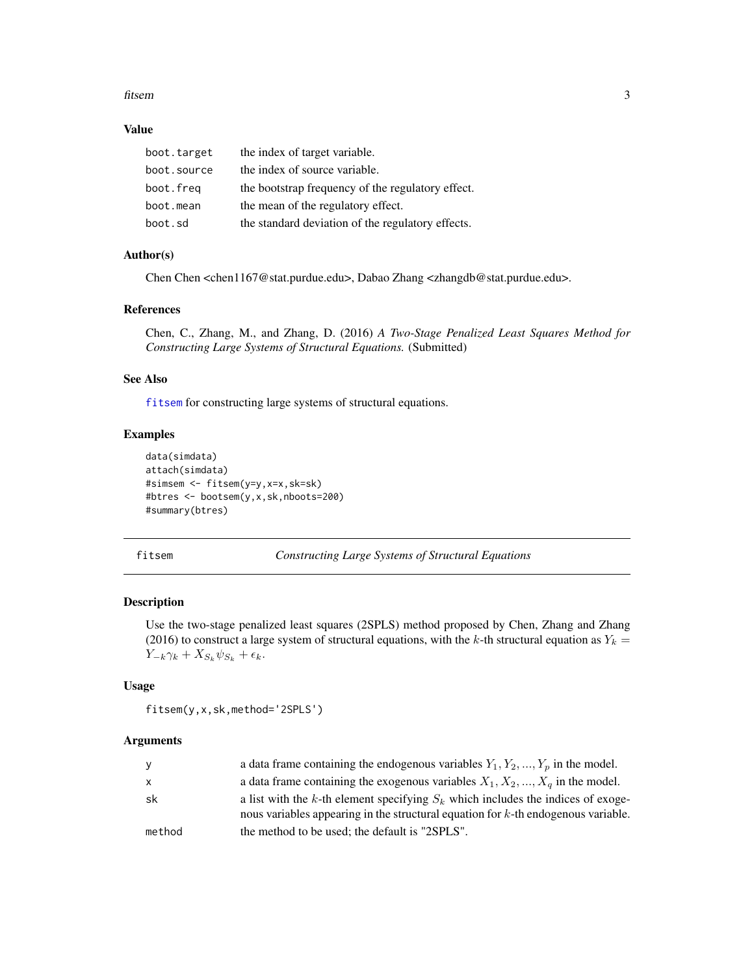#### <span id="page-2-0"></span>fitsem 3

## Value

| boot.target | the index of target variable.                     |
|-------------|---------------------------------------------------|
| boot.source | the index of source variable.                     |
| boot.freg   | the bootstrap frequency of the regulatory effect. |
| boot.mean   | the mean of the regulatory effect.                |
| boot.sd     | the standard deviation of the regulatory effects. |

#### Author(s)

Chen Chen <chen1167@stat.purdue.edu>, Dabao Zhang <zhangdb@stat.purdue.edu>.

#### References

Chen, C., Zhang, M., and Zhang, D. (2016) *A Two-Stage Penalized Least Squares Method for Constructing Large Systems of Structural Equations.* (Submitted)

# See Also

[fitsem](#page-2-1) for constructing large systems of structural equations.

#### Examples

```
data(simdata)
attach(simdata)
#simsem <- fitsem(y=y,x=x,sk=sk)
#btres <- bootsem(y,x,sk,nboots=200)
#summary(btres)
```
<span id="page-2-1"></span>fitsem *Constructing Large Systems of Structural Equations*

# Description

Use the two-stage penalized least squares (2SPLS) method proposed by Chen, Zhang and Zhang (2016) to construct a large system of structural equations, with the k-th structural equation as  $Y_k =$  $Y_{-k}\gamma_k + X_{S_k}\psi_{S_k} + \epsilon_k.$ 

#### Usage

```
fitsem(y,x,sk,method='2SPLS')
```
#### Arguments

| У      | a data frame containing the endogenous variables $Y_1, Y_2, , Y_p$ in the model.                                                                                           |
|--------|----------------------------------------------------------------------------------------------------------------------------------------------------------------------------|
| X      | a data frame containing the exogenous variables $X_1, X_2, , X_q$ in the model.                                                                                            |
| sk     | a list with the k-th element specifying $S_k$ which includes the indices of exoge-<br>nous variables appearing in the structural equation for $k$ -th endogenous variable. |
| method | the method to be used: the default is "2SPLS".                                                                                                                             |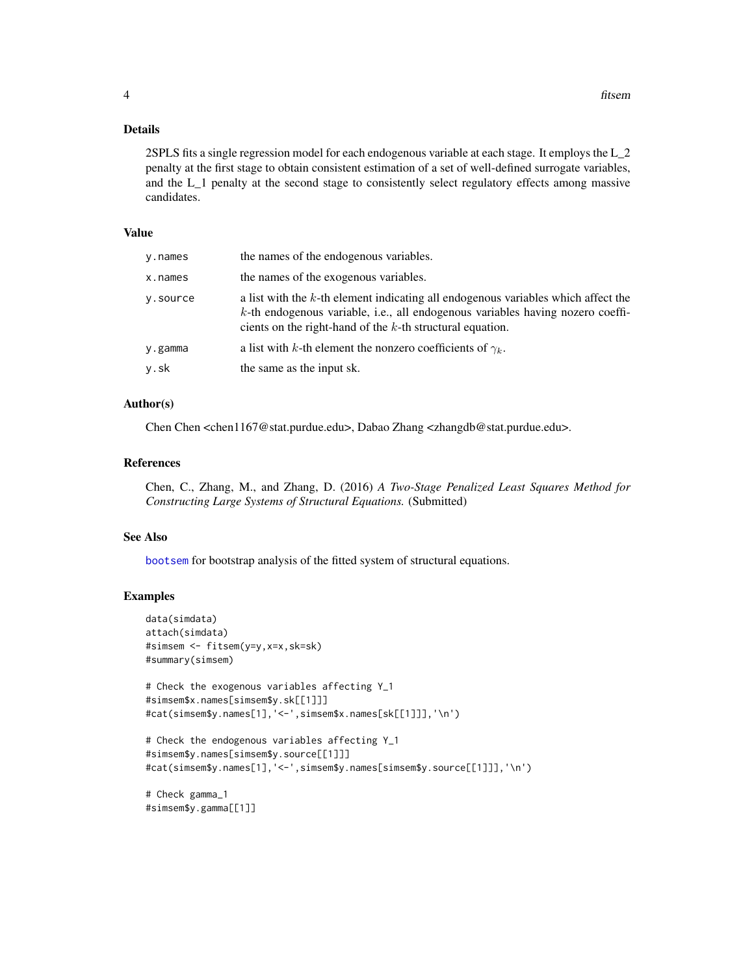# <span id="page-3-0"></span>Details

2SPLS fits a single regression model for each endogenous variable at each stage. It employs the L\_2 penalty at the first stage to obtain consistent estimation of a set of well-defined surrogate variables, and the L\_1 penalty at the second stage to consistently select regulatory effects among massive candidates.

#### Value

| v.names  | the names of the endogenous variables.                                                                                                                                                                                                 |
|----------|----------------------------------------------------------------------------------------------------------------------------------------------------------------------------------------------------------------------------------------|
| x.names  | the names of the exogenous variables.                                                                                                                                                                                                  |
| y.source | a list with the k-th element indicating all endogenous variables which affect the<br>$k$ -th endogenous variable, i.e., all endogenous variables having nozero coeffi-<br>cients on the right-hand of the $k$ -th structural equation. |
| y.gamma  | a list with k-th element the nonzero coefficients of $\gamma_k$ .                                                                                                                                                                      |
| y.sk     | the same as the input sk.                                                                                                                                                                                                              |

# Author(s)

Chen Chen <chen1167@stat.purdue.edu>, Dabao Zhang <zhangdb@stat.purdue.edu>.

#### References

Chen, C., Zhang, M., and Zhang, D. (2016) *A Two-Stage Penalized Least Squares Method for Constructing Large Systems of Structural Equations.* (Submitted)

#### See Also

[bootsem](#page-1-1) for bootstrap analysis of the fitted system of structural equations.

# Examples

```
data(simdata)
attach(simdata)
#simsem <- fitsem(y=y,x=x,sk=sk)
#summary(simsem)
# Check the exogenous variables affecting Y_1
#simsem$x.names[simsem$y.sk[[1]]]
#cat(simsem$y.names[1],'<-',simsem$x.names[sk[[1]]],'\n')
# Check the endogenous variables affecting Y_1
#simsem$y.names[simsem$y.source[[1]]]
#cat(simsem$y.names[1],'<-',simsem$y.names[simsem$y.source[[1]]],'\n')
# Check gamma_1
#simsem$y.gamma[[1]]
```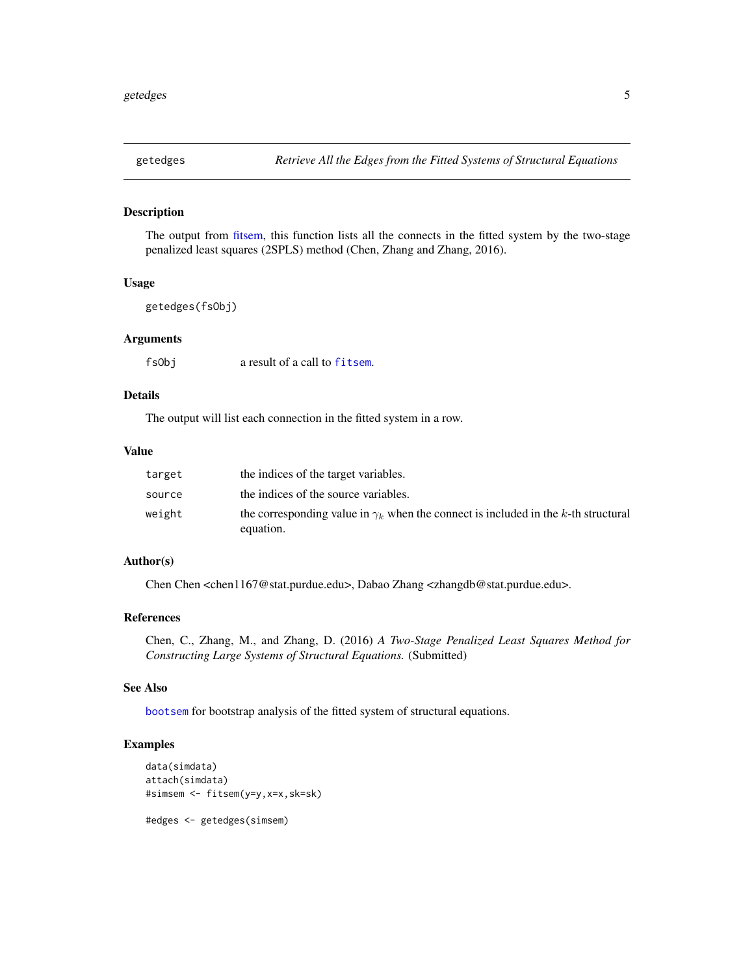<span id="page-4-0"></span>

#### Description

The output from [fitsem,](#page-2-1) this function lists all the connects in the fitted system by the two-stage penalized least squares (2SPLS) method (Chen, Zhang and Zhang, 2016).

# Usage

```
getedges(fsObj)
```
# Arguments

fsObj a result of a call to [fitsem](#page-2-1).

# Details

The output will list each connection in the fitted system in a row.

#### Value

| target | the indices of the target variables.                                                                   |
|--------|--------------------------------------------------------------------------------------------------------|
| source | the indices of the source variables.                                                                   |
| weight | the corresponding value in $\gamma_k$ when the connect is included in the k-th structural<br>equation. |

#### Author(s)

Chen Chen <chen1167@stat.purdue.edu>, Dabao Zhang <zhangdb@stat.purdue.edu>.

#### References

Chen, C., Zhang, M., and Zhang, D. (2016) *A Two-Stage Penalized Least Squares Method for Constructing Large Systems of Structural Equations.* (Submitted)

#### See Also

[bootsem](#page-1-1) for bootstrap analysis of the fitted system of structural equations.

# Examples

```
data(simdata)
attach(simdata)
#simsem <- fitsem(y=y,x=x,sk=sk)
```
#edges <- getedges(simsem)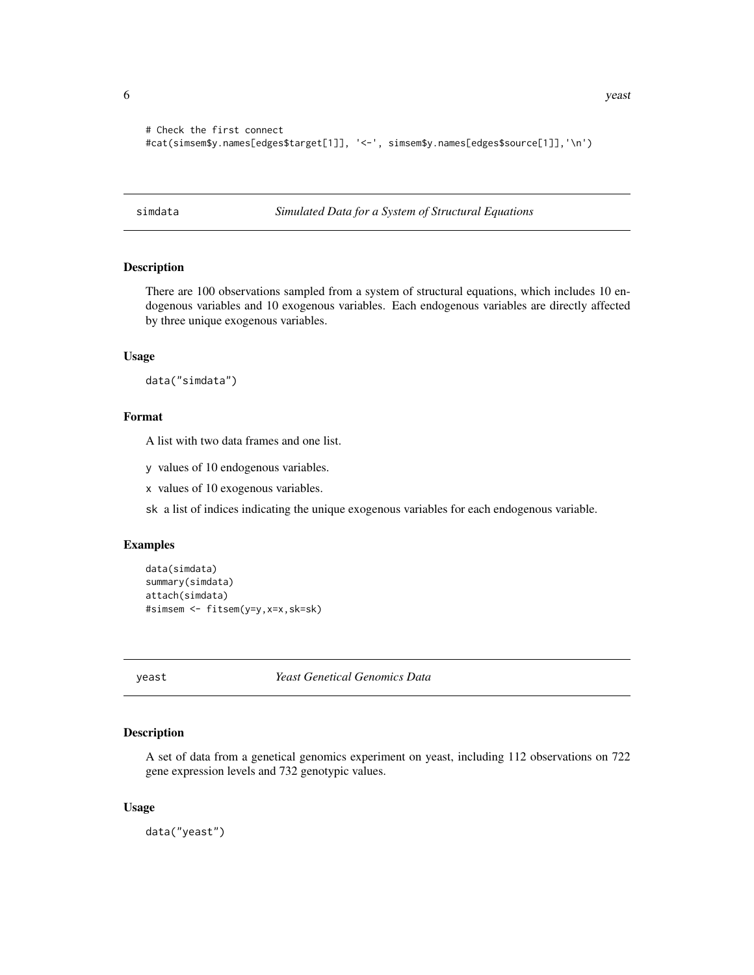```
# Check the first connect
#cat(simsem$y.names[edges$target[1]], '<-', simsem$y.names[edges$source[1]],'\n')
```
simdata *Simulated Data for a System of Structural Equations*

# Description

There are 100 observations sampled from a system of structural equations, which includes 10 endogenous variables and 10 exogenous variables. Each endogenous variables are directly affected by three unique exogenous variables.

# Usage

data("simdata")

# Format

A list with two data frames and one list.

y values of 10 endogenous variables.

x values of 10 exogenous variables.

sk a list of indices indicating the unique exogenous variables for each endogenous variable.

#### Examples

```
data(simdata)
summary(simdata)
attach(simdata)
#simsem <- fitsem(y=y,x=x,sk=sk)
```
yeast *Yeast Genetical Genomics Data*

# Description

A set of data from a genetical genomics experiment on yeast, including 112 observations on 722 gene expression levels and 732 genotypic values.

#### Usage

data("yeast")

<span id="page-5-0"></span>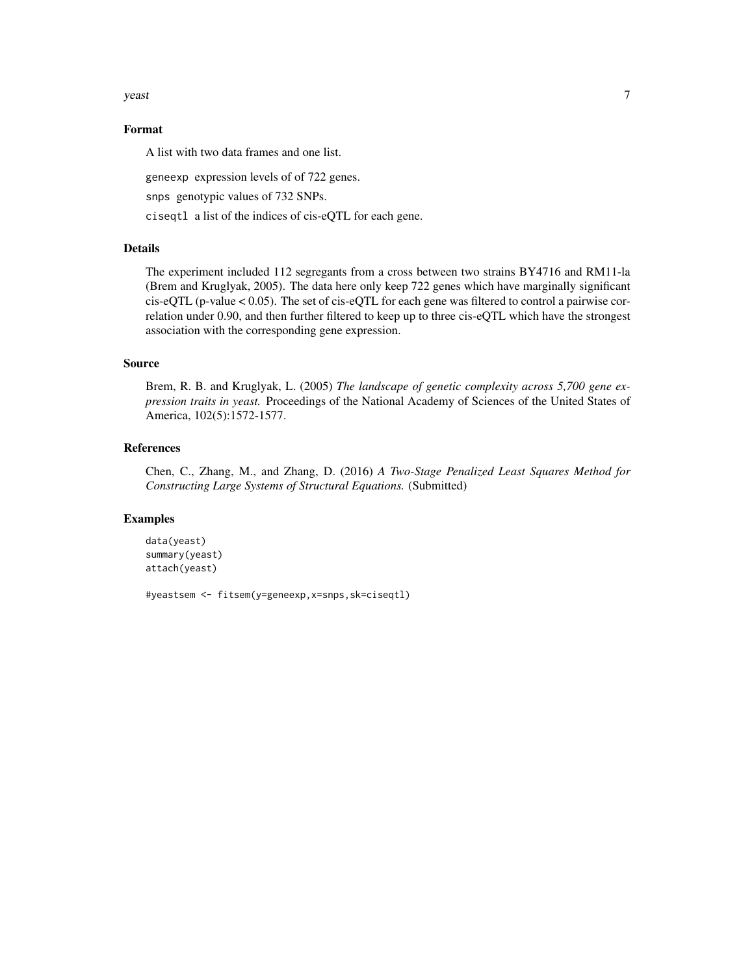$y$ east 7

# Format

A list with two data frames and one list.

geneexp expression levels of of 722 genes.

snps genotypic values of 732 SNPs.

ciseqtl a list of the indices of cis-eQTL for each gene.

# Details

The experiment included 112 segregants from a cross between two strains BY4716 and RM11-la (Brem and Kruglyak, 2005). The data here only keep 722 genes which have marginally significant cis-eQTL (p-value < 0.05). The set of cis-eQTL for each gene was filtered to control a pairwise correlation under 0.90, and then further filtered to keep up to three cis-eQTL which have the strongest association with the corresponding gene expression.

#### Source

Brem, R. B. and Kruglyak, L. (2005) *The landscape of genetic complexity across 5,700 gene expression traits in yeast.* Proceedings of the National Academy of Sciences of the United States of America, 102(5):1572-1577.

#### References

Chen, C., Zhang, M., and Zhang, D. (2016) *A Two-Stage Penalized Least Squares Method for Constructing Large Systems of Structural Equations.* (Submitted)

# Examples

```
data(yeast)
summary(yeast)
attach(yeast)
```
#yeastsem <- fitsem(y=geneexp,x=snps,sk=ciseqtl)